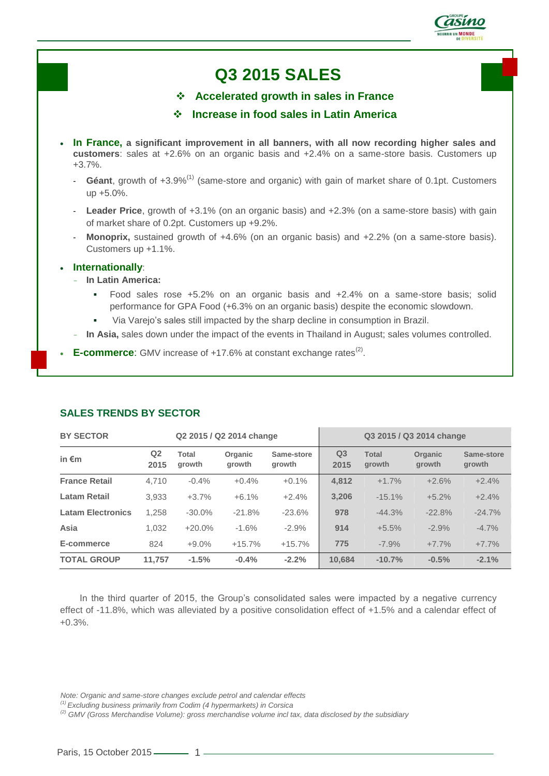

# **Q3 2015 SALES**

**Accelerated growth in sales in France**

# **Increase in food sales in Latin America**

- **In France, a significant improvement in all banners, with all now recording higher sales and customers**: sales at +2.6% on an organic basis and +2.4% on a same-store basis. Customers up +3.7%.
	- **Géant**, growth of +3.9%(1) (same-store and organic) with gain of market share of 0.1pt. Customers up +5.0%.
	- Leader Price, growth of +3.1% (on an organic basis) and +2.3% (on a same-store basis) with gain of market share of 0.2pt. Customers up +9.2%.
	- Monoprix, sustained growth of +4.6% (on an organic basis) and +2.2% (on a same-store basis). Customers up +1.1%.

#### **Internationally**:

- **In Latin America:**
	- Food sales rose +5.2% on an organic basis and +2.4% on a same-store basis; solid performance for GPA Food (+6.3% on an organic basis) despite the economic slowdown.
	- Via Varejo's sales still impacted by the sharp decline in consumption in Brazil.
- In Asia, sales down under the impact of the events in Thailand in August; sales volumes controlled.
- E-commerce: GMV increase of +17.6% at constant exchange rates<sup>(2)</sup>.

| <b>BY SECTOR</b><br>Q2 2015 / Q2 2014 change |                        |                 |                   | Q3 2015 / Q3 2014 change |                        |                        |                          |                      |
|----------------------------------------------|------------------------|-----------------|-------------------|--------------------------|------------------------|------------------------|--------------------------|----------------------|
| in $\epsilon$ m                              | Q <sub>2</sub><br>2015 | Total<br>growth | Organic<br>growth | Same-store<br>growth     | Q <sub>3</sub><br>2015 | <b>Total</b><br>growth | <b>Organic</b><br>growth | Same-store<br>growth |
| <b>France Retail</b>                         | 4.710                  | $-0.4%$         | $+0.4%$           | $+0.1%$                  | 4,812                  | $+1.7%$                | $+2.6%$                  | $+2.4%$              |
| <b>Latam Retail</b>                          | 3,933                  | $+3.7%$         | $+6.1%$           | $+2.4%$                  | 3.206                  | $-15.1%$               | $+5.2%$                  | $+2.4%$              |
| <b>Latam Electronics</b>                     | 1,258                  | $-30.0%$        | $-21.8%$          | $-23.6%$                 | 978                    | $-44.3%$               | $-22.8%$                 | $-24.7%$             |
| Asia                                         | 1.032                  | $+20.0%$        | $-1.6%$           | $-2.9%$                  | 914                    | $+5.5%$                | $-2.9%$                  | $-4.7%$              |
| E-commerce                                   | 824                    | $+9.0%$         | $+15.7%$          | $+15.7%$                 | 775                    | $-7.9%$                | $+7.7%$                  | $+7.7%$              |
| <b>TOTAL GROUP</b>                           | 11.757                 | $-1.5%$         | $-0.4%$           | $-2.2%$                  | 10.684                 | $-10.7%$               | $-0.5%$                  | $-2.1%$              |

## **SALES TRENDS BY SECTOR**

In the third quarter of 2015, the Group's consolidated sales were impacted by a negative currency effect of -11.8%, which was alleviated by a positive consolidation effect of +1.5% and a calendar effect of +0.3%.

- *(1) Excluding business primarily from Codim (4 hypermarkets) in Corsica*
- *(2) GMV (Gross Merchandise Volume): gross merchandise volume incl tax, data disclosed by the subsidiary*

*Note: Organic and same-store changes exclude petrol and calendar effects*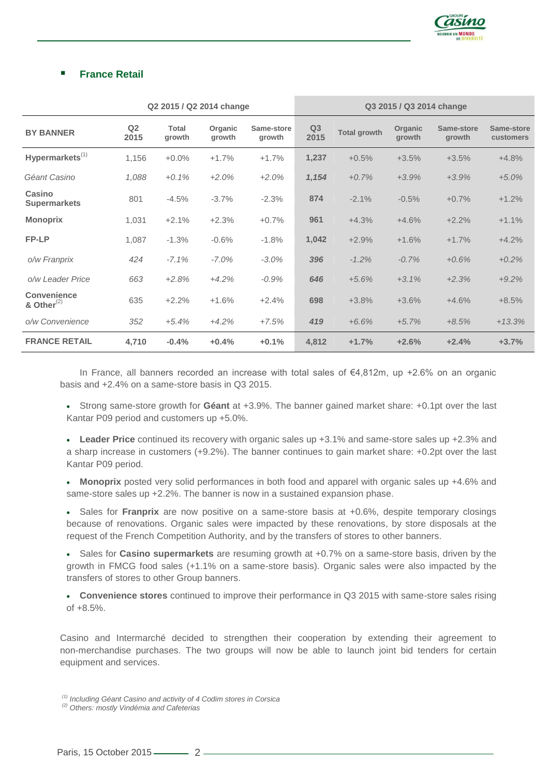

# **France Retail**

|                                        | Q2 2015 / Q2 2014 change |                        |                   |                      | Q3 2015 / Q3 2014 change |                     |                          |                      |                         |
|----------------------------------------|--------------------------|------------------------|-------------------|----------------------|--------------------------|---------------------|--------------------------|----------------------|-------------------------|
| <b>BY BANNER</b>                       | Q <sub>2</sub><br>2015   | <b>Total</b><br>growth | Organic<br>growth | Same-store<br>growth | Q3<br>2015               | <b>Total growth</b> | <b>Organic</b><br>growth | Same-store<br>growth | Same-store<br>customers |
| $Hypermarkets^{(1)}$                   | 1,156                    | $+0.0%$                | $+1.7%$           | $+1.7%$              | 1,237                    | $+0.5%$             | $+3.5%$                  | $+3.5%$              | $+4.8%$                 |
| Géant Casino                           | 1,088                    | $+0.1\%$               | $+2.0%$           | $+2.0%$              | 1,154                    | $+0.7%$             | $+3.9%$                  | $+3.9%$              | $+5.0%$                 |
| Casino<br><b>Supermarkets</b>          | 801                      | $-4.5%$                | $-3.7%$           | $-2.3%$              | 874                      | $-2.1%$             | $-0.5%$                  | $+0.7%$              | $+1.2%$                 |
| <b>Monoprix</b>                        | 1,031                    | $+2.1%$                | $+2.3%$           | $+0.7%$              | 961                      | $+4.3%$             | $+4.6%$                  | $+2.2%$              | $+1.1%$                 |
| FP-LP                                  | 1,087                    | $-1.3%$                | $-0.6%$           | $-1.8%$              | 1,042                    | $+2.9%$             | $+1.6%$                  | $+1.7%$              | $+4.2%$                 |
| o/w Franprix                           | 424                      | $-7.1%$                | $-7.0\%$          | $-3.0\%$             | 396                      | $-1.2%$             | $-0.7\%$                 | $+0.6%$              | $+0.2%$                 |
| o/w Leader Price                       | 663                      | $+2.8%$                | $+4.2%$           | $-0.9%$              | 646                      | $+5.6%$             | $+3.1%$                  | $+2.3%$              | $+9.2%$                 |
| <b>Convenience</b><br>& Other $^{(2)}$ | 635                      | $+2.2%$                | $+1.6%$           | $+2.4%$              | 698                      | $+3.8%$             | $+3.6%$                  | $+4.6%$              | $+8.5%$                 |
| o/w Convenience                        | 352                      | $+5.4%$                | $+4.2%$           | $+7.5%$              | 419                      | $+6.6%$             | $+5.7%$                  | $+8.5%$              | $+13.3%$                |
| <b>FRANCE RETAIL</b>                   | 4,710                    | $-0.4%$                | $+0.4%$           | $+0.1%$              | 4,812                    | $+1.7%$             | $+2.6%$                  | $+2.4%$              | $+3.7%$                 |

In France, all banners recorded an increase with total sales of  $\epsilon$ 4,812m, up +2.6% on an organic basis and +2.4% on a same-store basis in Q3 2015.

 Strong same-store growth for **Géant** at +3.9%. The banner gained market share: +0.1pt over the last Kantar P09 period and customers up +5.0%.

 **Leader Price** continued its recovery with organic sales up +3.1% and same-store sales up +2.3% and a sharp increase in customers (+9.2%). The banner continues to gain market share: +0.2pt over the last Kantar P09 period.

 **Monoprix** posted very solid performances in both food and apparel with organic sales up +4.6% and same-store sales up +2.2%. The banner is now in a sustained expansion phase.

• Sales for **Franprix** are now positive on a same-store basis at +0.6%, despite temporary closings because of renovations. Organic sales were impacted by these renovations, by store disposals at the request of the French Competition Authority, and by the transfers of stores to other banners.

 Sales for **Casino supermarkets** are resuming growth at +0.7% on a same-store basis, driven by the growth in FMCG food sales (+1.1% on a same-store basis). Organic sales were also impacted by the transfers of stores to other Group banners.

 **Convenience stores** continued to improve their performance in Q3 2015 with same-store sales rising of +8.5%.

Casino and Intermarché decided to strengthen their cooperation by extending their agreement to non-merchandise purchases. The two groups will now be able to launch joint bid tenders for certain equipment and services.

*<sup>(1)</sup> Including Géant Casino and activity of 4 Codim stores in Corsica*

*<sup>(2)</sup> Others: mostly Vindémia and Cafeterias*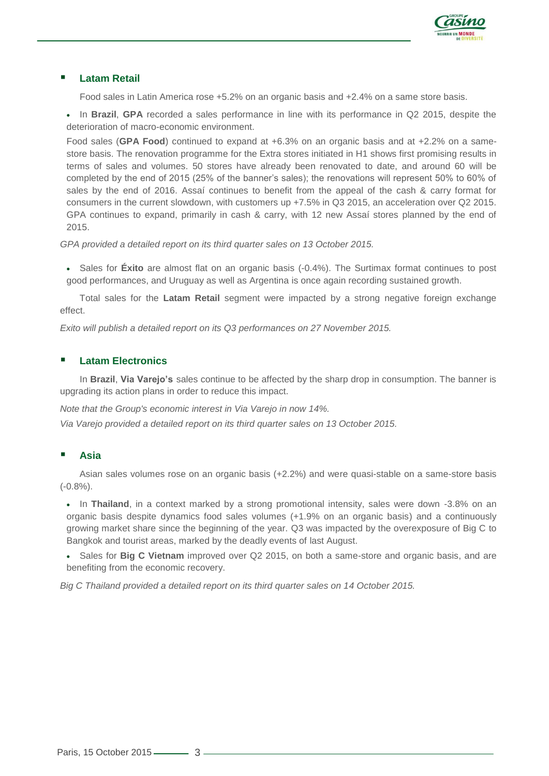

## **Latam Retail**

Food sales in Latin America rose +5.2% on an organic basis and +2.4% on a same store basis.

• In Brazil, GPA recorded a sales performance in line with its performance in Q2 2015, despite the deterioration of macro-economic environment.

Food sales (**GPA Food**) continued to expand at +6.3% on an organic basis and at +2.2% on a samestore basis. The renovation programme for the Extra stores initiated in H1 shows first promising results in terms of sales and volumes. 50 stores have already been renovated to date, and around 60 will be completed by the end of 2015 (25% of the banner's sales); the renovations will represent 50% to 60% of sales by the end of 2016. Assaí continues to benefit from the appeal of the cash & carry format for consumers in the current slowdown, with customers up +7.5% in Q3 2015, an acceleration over Q2 2015. GPA continues to expand, primarily in cash & carry, with 12 new Assaí stores planned by the end of 2015.

*GPA provided a detailed report on its third quarter sales on 13 October 2015.*

• Sales for **Éxito** are almost flat on an organic basis (-0.4%). The Surtimax format continues to post good performances, and Uruguay as well as Argentina is once again recording sustained growth.

Total sales for the **Latam Retail** segment were impacted by a strong negative foreign exchange effect.

*Exito will publish a detailed report on its Q3 performances on 27 November 2015.*

## **Latam Electronics**

In **Brazil**, **Via Varejo's** sales continue to be affected by the sharp drop in consumption. The banner is upgrading its action plans in order to reduce this impact.

*Note that the Group's economic interest in Via Varejo in now 14%. Via Varejo provided a detailed report on its third quarter sales on 13 October 2015.*

## **Asia**

Asian sales volumes rose on an organic basis (+2.2%) and were quasi-stable on a same-store basis (-0.8%).

 In **Thailand**, in a context marked by a strong promotional intensity, sales were down -3.8% on an organic basis despite dynamics food sales volumes (+1.9% on an organic basis) and a continuously growing market share since the beginning of the year. Q3 was impacted by the overexposure of Big C to Bangkok and tourist areas, marked by the deadly events of last August.

• Sales for **Big C Vietnam** improved over Q2 2015, on both a same-store and organic basis, and are benefiting from the economic recovery.

*Big C Thailand provided a detailed report on its third quarter sales on 14 October 2015.*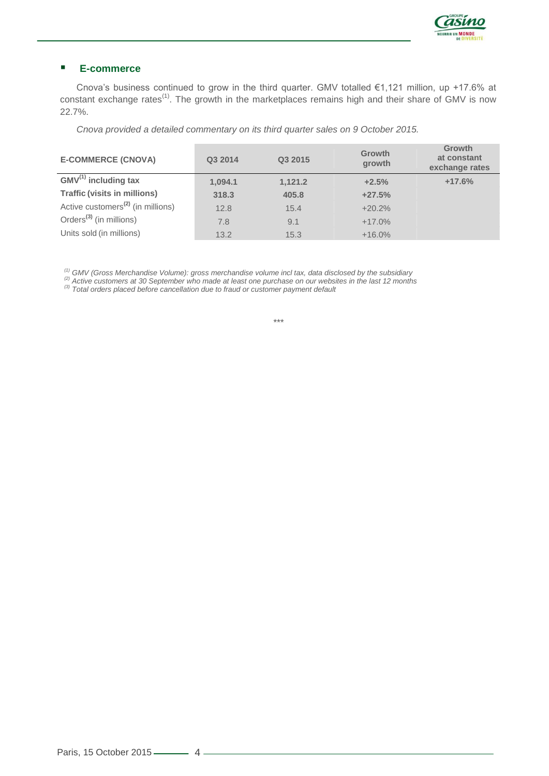

## **E-commerce**

Cnova's business continued to grow in the third quarter. GMV totalled €1,121 million, up +17.6% at constant exchange rates<sup>(1)</sup>. The growth in the marketplaces remains high and their share of GMV is now 22.7%.

*Cnova provided a detailed commentary on its third quarter sales on 9 October 2015.*

| <b>E-COMMERCE (CNOVA)</b>                     | Q3 2014 | Q3 2015 | <b>Growth</b><br>growth | Growth<br>at constant<br>exchange rates |
|-----------------------------------------------|---------|---------|-------------------------|-----------------------------------------|
| $GMV^{(1)}$ including tax                     | 1,094.1 | 1,121.2 | $+2.5%$                 | $+17.6%$                                |
| <b>Traffic (visits in millions)</b>           | 318.3   | 405.8   | $+27.5%$                |                                         |
| Active customers <sup>(2)</sup> (in millions) | 12.8    | 15.4    | $+20.2%$                |                                         |
| Orders <sup>(3)</sup> (in millions)           | 7.8     | 9.1     | $+17.0\%$               |                                         |
| Units sold (in millions)                      | 13.2    | 15.3    | $+16.0%$                |                                         |

*(1) GMV (Gross Merchandise Volume): gross merchandise volume incl tax, data disclosed by the subsidiary*

*(2) Active customers at 30 September who made at least one purchase on our websites in the last 12 months*

*(3) Total orders placed before cancellation due to fraud or customer payment default*

*\*\*\**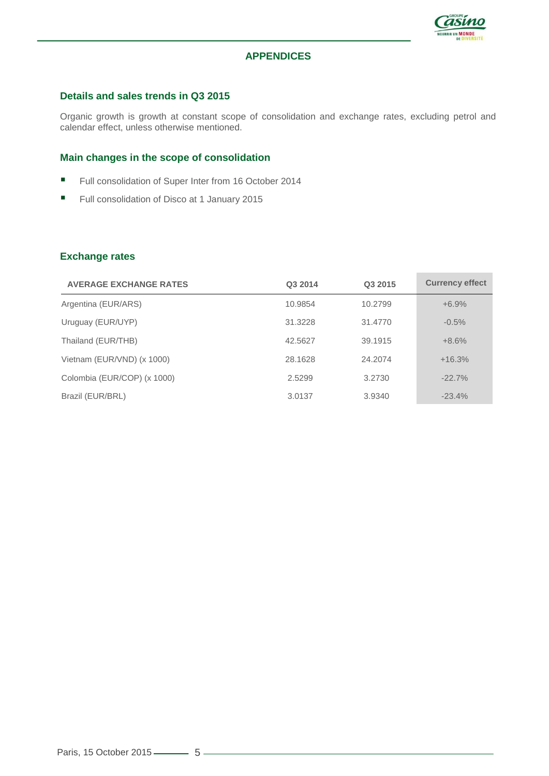

# **APPENDICES**

#### **Details and sales trends in Q3 2015**

Organic growth is growth at constant scope of consolidation and exchange rates, excluding petrol and calendar effect, unless otherwise mentioned.

#### **Main changes in the scope of consolidation**

- Full consolidation of Super Inter from 16 October 2014
- Full consolidation of Disco at 1 January 2015

#### **Exchange rates**

| <b>AVERAGE EXCHANGE RATES</b> | Q3 2014 | Q3 2015 | <b>Currency effect</b> |
|-------------------------------|---------|---------|------------------------|
| Argentina (EUR/ARS)           | 10.9854 | 10.2799 | $+6.9%$                |
| Uruguay (EUR/UYP)             | 31.3228 | 31.4770 | $-0.5%$                |
| Thailand (EUR/THB)            | 42.5627 | 39.1915 | $+8.6%$                |
| Vietnam (EUR/VND) (x 1000)    | 28.1628 | 24.2074 | $+16.3%$               |
| Colombia (EUR/COP) (x 1000)   | 2.5299  | 3.2730  | $-22.7%$               |
| Brazil (EUR/BRL)              | 3.0137  | 3.9340  | $-23.4%$               |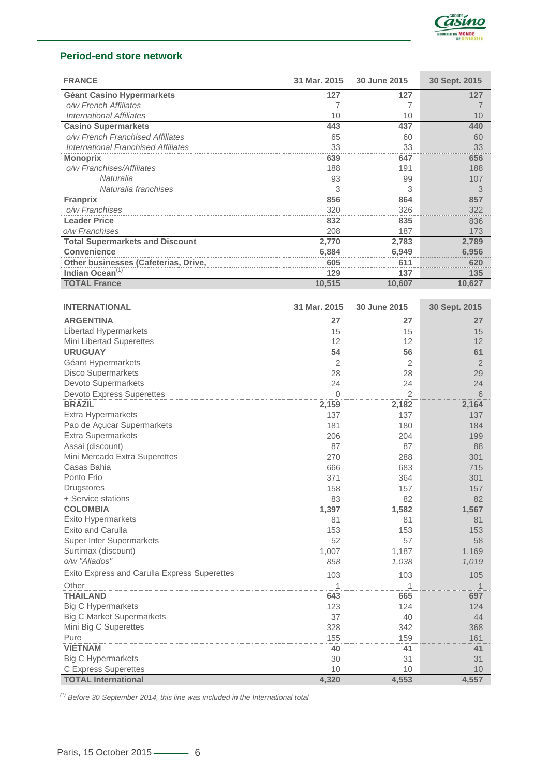

# **Period-end store network**

| <b>FRANCE</b>                          | 31 Mar. 2015 | 30 June 2015 | 30 Sept. 2015 |
|----------------------------------------|--------------|--------------|---------------|
| <b>Géant Casino Hypermarkets</b>       | 127          | 127          | 127           |
| o/w French Affiliates                  |              |              |               |
| <b>International Affiliates</b>        | 10           | 10           | 10            |
| <b>Casino Supermarkets</b>             | 443          | 437          | 440           |
| o/w French Franchised Affiliates       | 65           | 60           | 60            |
| International Franchised Affiliates    | 33           | 33           | 33            |
| <b>Monoprix</b>                        | 639          | 647          | 656           |
| o/w Franchises/Affiliates              | 188          | 191          | 188           |
| Naturalia                              | 93           | 99           | 107           |
| Naturalia franchises                   | 3            | 3            | З             |
| <b>Franprix</b>                        | 856          | 864          | 857           |
| o/w Franchises                         | 320          | 326          | 322           |
| <b>Leader Price</b>                    | 832          | 835          | 836           |
| o/w Franchises                         | 208          | 187          | 173           |
| <b>Total Supermarkets and Discount</b> | 2,770        | 2,783        | 2,789         |
| <b>Convenience</b>                     | 6.884        | 6,949        | 6,956         |
| Other businesses (Cafeterias, Drive,   | 605          | 61           | 620           |
| Indian Ocean <sup>(1)</sup>            | 129          | 137          | 135           |
| <b>TOTAL France</b>                    | 10,515       | 10,607       | 10,627        |

| <b>INTERNATIONAL</b>                         | 31 Mar. 2015 | 30 June 2015   | 30 Sept. 2015  |
|----------------------------------------------|--------------|----------------|----------------|
| <b>ARGENTINA</b>                             | 27           | 27             | 27             |
| Libertad Hypermarkets                        | 15           | 15             | 15             |
| Mini Libertad Superettes                     | 12           | 12             | 12             |
| <b>URUGUAY</b>                               | 54           | 56             | 61             |
| Géant Hypermarkets                           | 2            | 2              | $\overline{2}$ |
| <b>Disco Supermarkets</b>                    | 28           | 28             | 29             |
| Devoto Supermarkets                          | 24           | 24             | 24             |
| <b>Devoto Express Superettes</b>             | 0            | $\overline{2}$ | 6              |
| <b>BRAZIL</b>                                | 2,159        | 2,182          | 2,164          |
| Extra Hypermarkets                           | 137          | 137            | 137            |
| Pao de Açucar Supermarkets                   | 181          | 180            | 184            |
| <b>Extra Supermarkets</b>                    | 206          | 204            | 199            |
| Assai (discount)                             | 87           | 87             | 88             |
| Mini Mercado Extra Superettes                | 270          | 288            | 301            |
| Casas Bahia                                  | 666          | 683            | 715            |
| Ponto Frio                                   | 371          | 364            | 301            |
| <b>Drugstores</b>                            | 158          | 157            | 157            |
| + Service stations                           | 83           | 82             | 82             |
| <b>COLOMBIA</b>                              | 1,397        | 1,582          | 1,567          |
| <b>Exito Hypermarkets</b>                    | 81           | 81             | 81             |
| Exito and Carulla                            | 153          | 153            | 153            |
| <b>Super Inter Supermarkets</b>              | 52           | 57             | 58             |
| Surtimax (discount)                          | 1,007        | 1,187          | 1,169          |
| o/w "Aliados"                                | 858          | 1,038          | 1,019          |
| Exito Express and Carulla Express Superettes | 103          | 103            | 105            |
| Other                                        | 1            | 1              | 1              |
| <b>THAILAND</b>                              | 643          | 665            | 697            |
| <b>Big C Hypermarkets</b>                    | 123          | 124            | 124            |
| <b>Big C Market Supermarkets</b>             | 37           | 40             | 44             |
| Mini Big C Superettes                        | 328          | 342            | 368            |
| Pure                                         | 155          | 159            | 161            |
| <b>VIETNAM</b>                               | 40           | 41             | 41             |
| <b>Big C Hypermarkets</b>                    | 30           | 31             | 31             |
| C Express Superettes                         | 10           | 10             | 10             |
| <b>TOTAL International</b>                   | 4,320        | 4,553          | 4,557          |

*(1) Before 30 September 2014, this line was included in the International total*